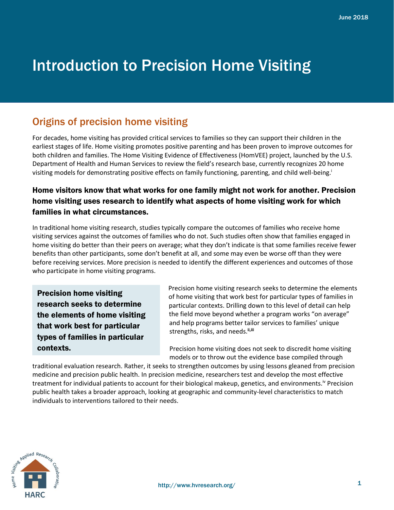# Introduction to Precision Home Visiting

## Origins of precision home visiting

For decades, home visiting has provided critical services to families so they can support their children in the earliest stages of life. Home visiting promotes positive parenting and has been proven to improve outcomes for both children and families. The Home Visiting Evidence of Effectiveness (HomVEE) project, launched by the U.S. Department of Health and Human Services to review the field's research base, currently recognizes 20 home visiting models for demonstrating positive effects on family functioning, parenting, and child well-being.<sup>i</sup>

### Home visitors know that what works for one family might not work for another. Precision home visiting uses research to identify what aspects of home visiting work for which families in what circumstances.

In traditional home visiting research, studies typically compare the outcomes of families who receive home visiting services against the outcomes of families who do not. Such studies often show that families engaged in home visiting do better than their peers on average; what they don't indicate is that some families receive fewer benefits than other participants, some don't benefit at all, and some may even be worse off than they were before receiving services. More precision is needed to identify the different experiences and outcomes of those who participate in home visiting programs.

Precision home visiting research seeks to determine the elements of home visiting that work best for particular types of families in particular contexts.

Precision home visiting research seeks to determine the elements of home visiting that work best for particular types of families in particular contexts. Drilling down to this level of detail can help the field move beyond whether a program works "on average" and help programs better tailor services to families' unique strengths, risks, and needs.**ii,iii**

Precision home visiting does not seek to discredit home visiting models or to throw out the evidence base compiled through

traditional evaluation research. Rather, it seeks to strengthen outcomes by using lessons gleaned from precision medicine and precision public health. In precision medicine, researchers test and develop the most effective treatment for individual patients to account for their biological makeup, genetics, and environments.iv Precision public health takes a broader approach, looking at geographic and community-level characteristics to match individuals to interventions tailored to their needs.

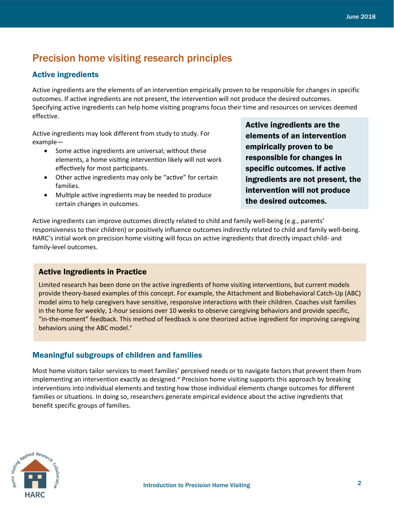## Precision home visiting research principles

#### Active ingredients

Active ingredients are the elements of an intervention empirically proven to be responsible for changes in specific outcomes. If active ingredients are not present, the intervention will not produce the desired outcomes. Specifying active ingredients can help home visiting programs focus their time and resources on services deemed effective.

Active ingredients may look different from study to study. For example—

- Some active ingredients are universal; without these elements, a home visiting intervention likely will not work effectively for most participants.
- Other active ingredients may only be "active" for certain families.
- Multiple active ingredients may be needed to produce certain changes in outcomes.

Active ingredients are the elements of an intervention empirically proven to be responsible for changes in specific outcomes. If active ingredients are not present, the intervention will not produce the desired outcomes.

Active ingredients can improve outcomes directly related to child and family well-being (e.g., parents' responsiveness to their children) or positively influence outcomes indirectly related to child and family well-being. HARC's initial work on precision home visiting will focus on active ingredients that directly impact child- and family-level outcomes.

#### Active Ingredients in Practice

Limited research has been done on the active ingredients of home visiting interventions, but current models provide theory-based examples of this concept. For example, the Attachment and Biobehavioral Catch-Up (ABC) model aims to help caregivers have sensitive, responsive interactions with their children. Coaches visit families in the home for weekly, 1-hour sessions over 10 weeks to observe caregiving behaviors and provide specific, "in-the-moment" feedback. This method of feedback is one theorized active ingredient for improving caregiving behaviors using the ABC model.<sup>v</sup>

#### Meaningful subgroups of children and families

Most home visitors tailor services to meet families' perceived needs or to navigate factors that prevent them from implementing an intervention exactly as designed.<sup>vi</sup> Precision home visiting supports this approach by breaking interventions into individual elements and testing how those individual elements change outcomes for different families or situations. In doing so, researchers generate empirical evidence about the active ingredients that benefit specific groups of families.

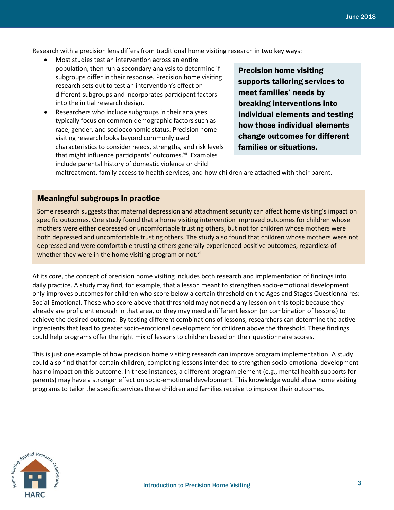Research with a precision lens differs from traditional home visiting research in two key ways:

- Most studies test an intervention across an entire population, then run a secondary analysis to determine if subgroups differ in their response. Precision home visiting research sets out to test an intervention's effect on different subgroups and incorporates participant factors into the initial research design.
- Researchers who include subgroups in their analyses typically focus on common demographic factors such as race, gender, and socioeconomic status. Precision home visiting research looks beyond commonly used characteristics to consider needs, strengths, and risk levels that might influence participants' outcomes.<sup>vii</sup> Examples include parental history of domestic violence or child

Precision home visiting supports tailoring services to meet families' needs by breaking interventions into individual elements and testing how those individual elements change outcomes for different families or situations.

maltreatment, family access to health services, and how children are attached with their parent.

#### Meaningful subgroups in practice

Some research suggests that maternal depression and attachment security can affect home visiting's impact on specific outcomes. One study found that a home visiting intervention improved outcomes for children whose mothers were either depressed or uncomfortable trusting others, but not for children whose mothers were both depressed and uncomfortable trusting others. The study also found that children whose mothers were not depressed and were comfortable trusting others generally experienced positive outcomes, regardless of whether they were in the home visiting program or not.<sup>viii</sup>

At its core, the concept of precision home visiting includes both research and implementation of findings into daily practice. A study may find, for example, that a lesson meant to strengthen socio-emotional development only improves outcomes for children who score below a certain threshold on the Ages and Stages Questionnaires: Social-Emotional. Those who score above that threshold may not need any lesson on this topic because they already are proficient enough in that area, or they may need a different lesson (or combination of lessons) to achieve the desired outcome. By testing different combinations of lessons, researchers can determine the active ingredients that lead to greater socio-emotional development for children above the threshold. These findings could help programs offer the right mix of lessons to children based on their questionnaire scores.

This is just one example of how precision home visiting research can improve program implementation. A study could also find that for certain children, completing lessons intended to strengthen socio-emotional development has no impact on this outcome. In these instances, a different program element (e.g., mental health supports for parents) may have a stronger effect on socio-emotional development. This knowledge would allow home visiting programs to tailor the specific services these children and families receive to improve their outcomes.

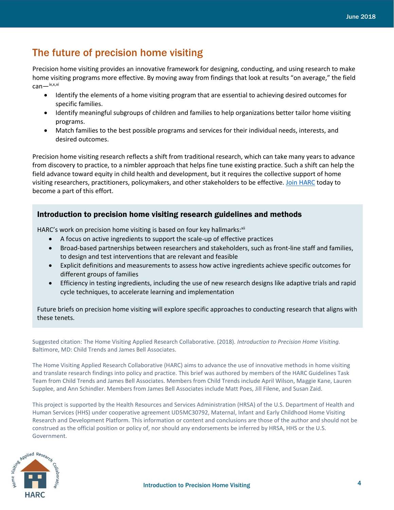## The future of precision home visiting

Precision home visiting provides an innovative framework for designing, conducting, and using research to make home visiting programs more effective. By moving away from findings that look at results "on average," the field can—ix,x,xi

- Identify the elements of a home visiting program that are essential to achieving desired outcomes for specific families.
- Identify meaningful subgroups of children and families to help organizations better tailor home visiting programs.
- Match families to the best possible programs and services for their individual needs, interests, and desired outcomes.

Precision home visiting research reflects a shift from traditional research, which can take many years to advance from discovery to practice, to a nimbler approach that helps fine tune existing practice. Such a shift can help the field advance toward equity in child health and development, but it requires the collective support of home visiting researchers, practitioners, policymakers, and other stakeholders to be effective. [Join HARC](http://www.hvresearch.org/practice-based-research-network/joining-harc/) today to become a part of this effort.

#### Introduction to precision home visiting research guidelines and methods

HARC's work on precision home visiting is based on four key hallmarks: xii

- A focus on active ingredients to support the scale-up of effective practices
- Broad-based partnerships between researchers and stakeholders, such as front-line staff and families, to design and test interventions that are relevant and feasible
- Explicit definitions and measurements to assess how active ingredients achieve specific outcomes for different groups of families
- Efficiency in testing ingredients, including the use of new research designs like adaptive trials and rapid cycle techniques, to accelerate learning and implementation

Future briefs on precision home visiting will explore specific approaches to conducting research that aligns with these tenets.

Suggested citation: The Home Visiting Applied Research Collaborative. (2018). *Introduction to Precision Home Visiting.* Baltimore, MD: Child Trends and James Bell Associates.

The Home Visiting Applied Research Collaborative (HARC) aims to advance the use of innovative methods in home visiting and translate research findings into policy and practice. This brief was authored by members of the HARC Guidelines Task Team from Child Trends and James Bell Associates. Members from Child Trends include April Wilson, Maggie Kane, Lauren Supplee, and Ann Schindler. Members from James Bell Associates include Matt Poes, Jill Filene, and Susan Zaid.

This project is supported by the Health Resources and Services Administration (HRSA) of the U.S. Department of Health and Human Services (HHS) under cooperative agreement UD5MC30792, Maternal, Infant and Early Childhood Home Visiting Research and Development Platform. This information or content and conclusions are those of the author and should not be construed as the official position or policy of, nor should any endorsements be inferred by HRSA, HHS or the U.S. Government.